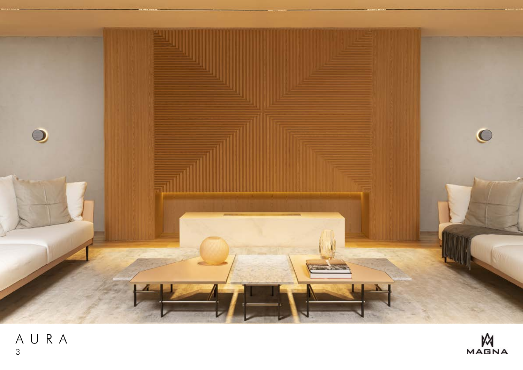